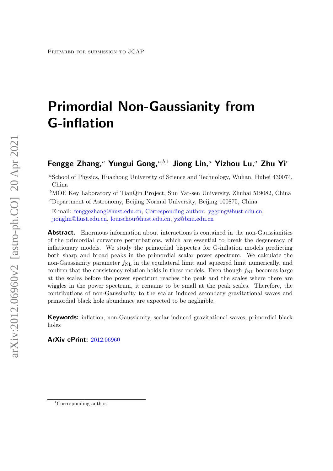# Primordial Non-Gaussianity from G-inflation

# Fengge Zhang,<sup>a</sup> Yungui Gong,<sup>a,b,1</sup> Jiong Lin,<sup>a</sup> Yizhou Lu,<sup>a</sup> Zhu Yi<sup>c</sup>

<sup>a</sup>School of Physics, Huazhong University of Science and Technology, Wuhan, Hubei 430074, China

<sup>b</sup>MOE Key Laboratory of TianQin Project, Sun Yat-sen University, Zhuhai 519082, China  $c$ Department of Astronomy, Beijing Normal University, Beijing 100875, China

E-mail: [fenggezhang@hust.edu.cn,](mailto:fenggezhang@hust.edu.cn) [Corresponding author. yggong@hust.edu.cn,](mailto:Corresponding author. yggong@hust.edu.cn) [jionglin@hust.edu.cn,](mailto:jionglin@hust.edu.cn) [louischou@hust.edu.cn,](mailto:louischou@hust.edu.cn) [yz@bnu.edu.cn](mailto:yz@bnu.edu.cn)

Abstract. Enormous information about interactions is contained in the non-Gaussianities of the primordial curvature perturbations, which are essential to break the degeneracy of inflationary models. We study the primordial bispectra for G-inflation models predicting both sharp and broad peaks in the primordial scalar power spectrum. We calculate the non-Gaussianity parameter  $f_{\rm NL}$  in the equilateral limit and squeezed limit numerically, and confirm that the consistency relation holds in these models. Even though  $f_{\rm NL}$  becomes large at the scales before the power spectrum reaches the peak and the scales where there are wiggles in the power spectrum, it remains to be small at the peak scales. Therefore, the contributions of non-Gaussianity to the scalar induced secondary gravitational waves and primordial black hole abundance are expected to be negligible.

Keywords: inflation, non-Gaussianity, scalar induced gravitational waves, primordial black holes

ArXiv ePrint: [2012.06960](https://arxiv.org/abs/2012.06960)

<sup>&</sup>lt;sup>1</sup>Corresponding author.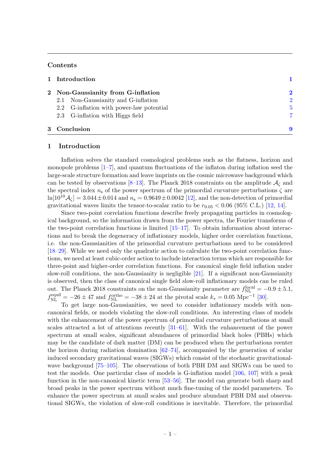# Contents

| 1 Introduction                           |                         |
|------------------------------------------|-------------------------|
| 2 Non-Gaussianity from G-inflation       | $\overline{\mathbf{2}}$ |
| 2.1 Non-Gaussianity and G-inflation      | $\overline{2}$          |
| 2.2 G-inflation with power-law potential | 5                       |
| 2.3 G-inflation with Higgs field         | 7                       |
| 3 Conclusion                             |                         |

#### <span id="page-1-0"></span>1 Introduction

Inflation solves the standard cosmological problems such as the flatness, horizon and monopole problems  $[1-7]$  $[1-7]$ , and quantum fluctuations of the inflaton during inflation seed the large-scale structure formation and leave imprints on the cosmic microwave background which can be tested by observations [\[8–](#page-10-2)[13\]](#page-11-0). The Planck 2018 constraints on the amplitude  $A_{\zeta}$  and the spectral index  $n_s$  of the power spectrum of the primordial curvature perturbations  $\zeta$  are  $ln[10^{10}A_C] = 3.044 \pm 0.014$  and  $n_s = 0.9649 \pm 0.0042$  [\[12\]](#page-10-3), and the non-detection of primordial gravitational waves limits the tensor-to-scalar ratio to be  $r_{0.05} < 0.06$  (95% C.L.) [\[12,](#page-10-3) [14\]](#page-11-1).

Since two-point correlation functions describe freely propagating particles in cosmological background, so the information drawn from the power spectra, the Fourier transforms of the two-point correlation functions is limited [\[15–](#page-11-2)[17\]](#page-11-3). To obtain information about interactions and to break the degeneracy of inflationary models, higher order correlation functions, i.e. the non-Gaussianities of the primordial curvature perturbations need to be considered [\[18](#page-11-4)[–29\]](#page-11-5). While we need only the quadratic action to calculate the two-point correlation functions, we need at least cubic-order action to include interaction terms which are responsible for three-point and higher-order correlation functions. For canonical single field inflation under slow-roll conditions, the non-Gaussianity is negligible [\[21\]](#page-11-6). If a significant non-Gaussianity is observed, then the class of canonical single field slow-roll inflationary models can be ruled out. The Planck 2018 constraints on the non-Gaussianity parameter are  $f_{\text{NL}}^{\text{local}} = -0.9 \pm 5.1$ ,  $f_{\text{NL}}^{\text{equil}} = -26 \pm 47$  and  $f_{\text{NL}}^{\text{ortho}} = -38 \pm 24$  at the pivotal scale  $k_* = 0.05 \text{ Mpc}^{-1}$  [\[30\]](#page-11-7).

To get large non-Gaussianities, we need to consider inflationary models with noncanonical fields, or models violating the slow-roll conditions. An interesting class of models with the enhancement of the power spectrum of primordial curvature perturbations at small scales attracted a lot of attentions recently [\[31–](#page-11-8)[61\]](#page-13-0). With the enhancement of the power spectrum at small scales, significant abundances of primordial black holes (PBHs) which may be the candidate of dark matter (DM) can be produced when the perturbations reenter the horizon during radiation domination  $[62–74]$  $[62–74]$ , accompanied by the generation of scalar induced secondary gravitational waves (SIGWs) which consist of the stochastic gravitationalwave background [\[75–](#page-14-1)[105\]](#page-15-0). The observations of both PBH DM and SIGWs can be used to test the models. One particular class of models is G-inflation model [\[106,](#page-15-1) [107\]](#page-15-2) with a peak function in the non-canonical kinetic term [\[53](#page-12-0)[–56\]](#page-13-2). The model can generate both sharp and broad peaks in the power spectrum without much fine-tuning of the model parameters. To enhance the power spectrum at small scales and produce abundant PBH DM and observational SIGWs, the violation of slow-roll conditions is inevitable. Therefore, the primordial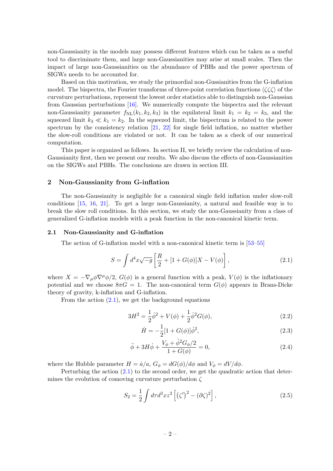non-Gaussianity in the models may possess different features which can be taken as a useful tool to discriminate them, and large non-Gaussianities may arise at small scales. Then the impact of large non-Gaussianities on the abundance of PBHs and the power spectrum of SIGWs needs to be accounted for.

Based on this motivation, we study the primordial non-Gussianities from the G-inflation model. The bispectra, the Fourier transforms of three-point correlation functions  $\langle \zeta \zeta \zeta \rangle$  of the curvature perturbations, represent the lowest order statistics able to distinguish non-Gaussian from Gaussian perturbations [\[16\]](#page-11-9). We numerically compute the bispectra and the relevant non-Gaussianity parameter  $f_{\text{NL}}(k_1, k_2, k_3)$  in the equilateral limit  $k_1 = k_2 = k_3$ , and the squeezed limit  $k_3 \ll k_1 = k_2$ . In the squeezed limit, the bispectrum is related to the power spectrum by the consistency relation [\[21,](#page-11-6) [22\]](#page-11-10) for single field inflation, no matter whether the slow-roll conditions are violated or not. It can be taken as a check of our numerical computation.

This paper is organized as follows. In section II, we briefly review the calculation of non-Gaussianity first, then we present our results. We also discuss the effects of non-Gaussianities on the SIGWs and PBHs. The conclusions are drawn in section III.

### <span id="page-2-0"></span>2 Non-Gaussianity from G-inflation

The non-Gaussianity is negligible for a canonical single field inflation under slow-roll conditions [\[15,](#page-11-2) [16,](#page-11-9) [21\]](#page-11-6). To get a large non-Gaussianity, a natural and feasible way is to break the slow roll conditions. In this section, we study the non-Gaussianity from a class of generalized G-inflation models with a peak function in the non-canonical kinetic term.

#### <span id="page-2-1"></span>2.1 Non-Gaussianity and G-inflation

The action of G-inflation model with a non-canonical kinetic term is [\[53–](#page-12-0)[55\]](#page-13-3)

<span id="page-2-2"></span>
$$
S = \int d^4x \sqrt{-g} \left[ \frac{R}{2} + [1 + G(\phi)]X - V(\phi) \right],
$$
 (2.1)

where  $X = -\nabla_{\mu}\phi\nabla^{\mu}\phi/2$ ,  $G(\phi)$  is a general function with a peak,  $V(\phi)$  is the inflationary potential and we choose  $8\pi G = 1$ . The non-canonical term  $G(\phi)$  appears in Brans-Dicke theory of gravity, k-inflation and G-inflation.

From the action  $(2.1)$ , we get the background equations

$$
3H^2 = \frac{1}{2}\dot{\phi}^2 + V(\phi) + \frac{1}{2}\dot{\phi}^2 G(\phi),\tag{2.2}
$$

<span id="page-2-4"></span><span id="page-2-3"></span>
$$
\dot{H} = -\frac{1}{2} [1 + G(\phi)] \dot{\phi}^2,\tag{2.3}
$$

$$
\ddot{\phi} + 3H\dot{\phi} + \frac{V_{\phi} + \dot{\phi}^2 G_{\phi}/2}{1 + G(\phi)} = 0,
$$
\n(2.4)

where the Hubble parameter  $H = \dot{a}/a$ ,  $G_{\phi} = dG(\phi)/d\phi$  and  $V_{\phi} = dV/d\phi$ .

Perturbing the action  $(2.1)$  to the second order, we get the quadratic action that determines the evolution of comoving curvature perturbation  $\zeta$ 

$$
S_2 = \frac{1}{2} \int d\tau d^3 x z^2 \left[ \left( \zeta' \right)^2 - (\partial \zeta)^2 \right],\tag{2.5}
$$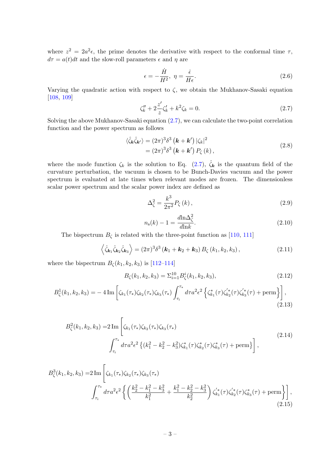where  $z^2 = 2a^2\epsilon$ , the prime denotes the derivative with respect to the conformal time  $\tau$ ,  $d\tau = a(t)dt$  and the slow-roll parameters  $\epsilon$  and  $\eta$  are

$$
\epsilon = -\frac{\dot{H}}{H^2}, \ \eta = \frac{\dot{\epsilon}}{H\epsilon}.
$$
\n(2.6)

Varying the quadratic action with respect to  $\zeta$ , we obtain the Mukhanov-Sasaki equation [\[108,](#page-15-3) [109\]](#page-15-4)

<span id="page-3-0"></span>
$$
\zeta_k'' + 2\frac{z'}{z}\zeta_k' + k^2\zeta_k = 0.
$$
\n(2.7)

Solving the above Mukhanov-Sasaki equation [\(2.7\)](#page-3-0), we can calculate the two-point correlation function and the power spectrum as follows

$$
\langle \hat{\zeta}_{\mathbf{k}} \hat{\zeta}_{\mathbf{k'}} \rangle = (2\pi)^3 \delta^3 \left( \mathbf{k} + \mathbf{k'} \right) |\zeta_k|^2
$$
  
= 
$$
(2\pi)^3 \delta^3 \left( \mathbf{k} + \mathbf{k'} \right) P_{\zeta} (k),
$$
 (2.8)

where the mode function  $\zeta_k$  is the solution to Eq. [\(2.7\)](#page-3-0),  $\hat{\zeta}_k$  is the quantum field of the curvature perturbation, the vacuum is chosen to be Bunch-Davies vacuum and the power spectrum is evaluated at late times when relevant modes are frozen. The dimensionless scalar power spectrum and the scalar power index are defined as

$$
\Delta_{\zeta}^{2} = \frac{k^{3}}{2\pi^{2}} P_{\zeta}(k) ,
$$
\n(2.9)

$$
n_{\rm s}(k) - 1 = \frac{d \ln \Delta_{\zeta}^2}{d \ln k}.
$$
\n(2.10)

The bispectrum  $B_{\zeta}$  is related with the three-point function as [\[110,](#page-15-5) [111\]](#page-15-6)

$$
\left\langle \hat{\zeta}_{\mathbf{k}_1} \hat{\zeta}_{\mathbf{k}_2} \hat{\zeta}_{\mathbf{k}_3} \right\rangle = (2\pi)^3 \delta^3 \left( \mathbf{k}_1 + \mathbf{k}_2 + \mathbf{k}_3 \right) B_{\zeta} \left( k_1, k_2, k_3 \right), \tag{2.11}
$$

where the bispectrum  $B_{\zeta}(k_1, k_2, k_3)$  is [\[112](#page-15-7)[–114\]](#page-16-0)

<span id="page-3-1"></span>
$$
B_{\zeta}(k_1, k_2, k_3) = \Sigma_{i=1}^{10} B_{\zeta}^i(k_1, k_2, k_3), \qquad (2.12)
$$

<span id="page-3-2"></span>
$$
B_{\zeta}^{1}(k_{1},k_{2},k_{3}) = -4 \operatorname{Im} \left[ \zeta_{k_{1}}(\tau_{*}) \zeta_{k_{2}}(\tau_{*}) \zeta_{k_{3}}(\tau_{*}) \int_{\tau_{i}}^{\tau_{*}} d\tau a^{2} \epsilon^{2} \left\{ \zeta_{k_{1}}^{*}(\tau) \zeta_{k_{2}}^{'*}(\tau) \zeta_{k_{3}}^{'*}(\tau) + \text{perm} \right\} \right],
$$
\n(2.13)

$$
B_{\zeta}^{2}(k_{1}, k_{2}, k_{3}) = 2 \operatorname{Im} \left[ \zeta_{k_{1}}(\tau_{*}) \zeta_{k_{2}}(\tau_{*}) \zeta_{k_{3}}(\tau_{*}) - \int_{\tau_{i}}^{\tau_{*}} d\tau a^{2} \epsilon^{2} \left\{ (k_{1}^{2} - k_{2}^{2} - k_{3}^{2}) \zeta_{k_{1}}^{*}(\tau) \zeta_{k_{2}}^{*}(\tau) \zeta_{k_{3}}^{*}(\tau) + \operatorname{perm} \right\} \right],
$$
\n(2.14)

$$
B_{\zeta}^{3}(k_{1},k_{2},k_{3}) = 2 \operatorname{Im} \left[ \zeta_{k_{1}}(\tau_{*}) \zeta_{k_{2}}(\tau_{*}) \zeta_{k_{3}}(\tau_{*}) \right]
$$

$$
\int_{\tau_{i}}^{\tau_{*}} d\tau a^{2} \epsilon^{2} \left\{ \left( \frac{k_{2}^{2} - k_{1}^{2} - k_{3}^{2}}{k_{1}^{2}} + \frac{k_{1}^{2} - k_{2}^{2} - k_{3}^{2}}{k_{2}^{2}} \right) \zeta_{k_{1}}'(\tau) \zeta_{k_{2}}'(\tau) \zeta_{k_{3}}^{*}(\tau) + \operatorname{perm} \right\} \right],
$$
(2.15)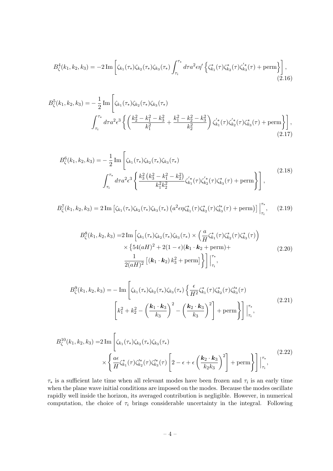$$
B_{\zeta}^{4}(k_{1},k_{2},k_{3}) = -2 \operatorname{Im} \left[ \zeta_{k_{1}}(\tau_{*}) \zeta_{k_{2}}(\tau_{*}) \zeta_{k_{3}}(\tau_{*}) \int_{\tau_{i}}^{\tau_{*}} d\tau a^{2} \epsilon \eta' \left\{ \zeta_{k_{1}}^{*}(\tau) \zeta_{k_{2}}^{*}(\tau) \zeta_{k_{3}}^{'}(\tau) + \text{perm} \right\} \right],
$$
\n(2.16)

$$
B_{\zeta}^{5}(k_{1},k_{2},k_{3}) = -\frac{1}{2} \operatorname{Im} \left[ \zeta_{k_{1}}(\tau_{*})\zeta_{k_{2}}(\tau_{*})\zeta_{k_{3}}(\tau_{*}) \right]
$$

$$
\int_{\tau_{i}}^{\tau_{*}} d\tau a^{2} \epsilon^{3} \left\{ \left( \frac{k_{2}^{2} - k_{1}^{2} - k_{3}^{2}}{k_{1}^{2}} + \frac{k_{1}^{2} - k_{2}^{2} - k_{3}^{2}}{k_{2}^{2}} \right) \zeta_{k_{1}}'(\tau) \zeta_{k_{2}}'(\tau) \zeta_{k_{3}}^{*}(\tau) + \operatorname{perm} \right\} \right],
$$
(2.17)

$$
B_{\zeta}^{6}(k_{1},k_{2},k_{3}) = -\frac{1}{2} \operatorname{Im} \left[ \zeta_{k_{1}}(\tau_{*}) \zeta_{k_{2}}(\tau_{*}) \zeta_{k_{3}}(\tau_{*}) - \int_{\tau_{i}}^{\tau_{*}} d\tau a^{2} \epsilon^{3} \left\{ \frac{k_{3}^{2} \left(k_{3}^{2} - k_{1}^{2} - k_{2}^{2}\right)}{k_{1}^{2} k_{2}^{2}} \zeta_{k_{1}}'(\tau) \zeta_{k_{2}}'(\tau) \zeta_{k_{3}}'(\tau) + \operatorname{perm} \right\} \right],
$$
\n(2.18)

$$
B_{\zeta}^{7}(k_{1},k_{2},k_{3}) = 2 \operatorname{Im} \left[ \zeta_{k_{1}}(\tau_{*}) \zeta_{k_{2}}(\tau_{*}) \zeta_{k_{3}}(\tau_{*}) \left( a^{2} \epsilon \eta \zeta_{k_{1}}^{*}(\tau) \zeta_{k_{2}}^{*}(\tau) \zeta_{k_{3}}'^{*}(\tau) + \operatorname{perm} \right) \right] \Big|_{\tau_{i}}^{\tau_{*}}, \quad (2.19)
$$

$$
B_{\zeta}^{8}(k_{1}, k_{2}, k_{3}) = 2 \operatorname{Im} \left[ \zeta_{k_{1}}(\tau_{*}) \zeta_{k_{2}}(\tau_{*}) \zeta_{k_{3}}(\tau_{*}) \times \left( \frac{a}{H} \zeta_{k_{1}}^{*}(\tau) \zeta_{k_{2}}^{*}(\tau) \zeta_{k_{3}}^{*}(\tau) \right) \times \left\{ 54(aH)^{2} + 2(1 - \epsilon)(\mathbf{k}_{1} \cdot \mathbf{k}_{2} + \operatorname{perm}) + \frac{1}{2(aH)^{2}} \left[ (\mathbf{k}_{1} \cdot \mathbf{k}_{2}) k_{3}^{2} + \operatorname{perm} \right] \right\} \Bigg]_{\tau_{i}}^{\tau_{*}}, \qquad (2.20)
$$

$$
B_{\zeta}^{9}(k_{1},k_{2},k_{3}) = -\operatorname{Im}\left[\zeta_{k_{1}}(\tau_{*})\zeta_{k_{2}}(\tau_{*})\zeta_{k_{3}}(\tau_{*})\left\{\frac{\epsilon}{H^{2}}\zeta_{k_{1}}^{*}(\tau)\zeta_{k_{2}}^{*}(\tau)\zeta_{k_{3}}^{*}(\tau)\right.\right.\left[k_{1}^{2} + k_{2}^{2} - \left(\frac{k_{1} \cdot k_{3}}{k_{3}}\right)^{2} - \left(\frac{k_{2} \cdot k_{3}}{k_{3}}\right)^{2}\right] + \operatorname{perm}\left\{\right]\right]_{\tau_{i}}^{\tau_{*}},
$$
\n(2.21)

$$
B_{\zeta}^{10}(k_1, k_2, k_3) = 2 \operatorname{Im} \left[ \zeta_{k_1}(\tau_*) \zeta_{k_2}(\tau_*) \zeta_{k_3}(\tau_*) \right] \times \left\{ \frac{a\epsilon}{H} \zeta_{k_1}^*(\tau) \zeta_{k_2}^*(\tau) \zeta_{k_3}^*(\tau) \left[ 2 - \epsilon + \epsilon \left( \frac{k_2 \cdot k_3}{k_2 k_3} \right)^2 \right] + \operatorname{perm} \right\} \right] \Big|_{\tau_i}^{\tau_*}, \tag{2.22}
$$

 $\tau_*$  is a sufficient late time when all relevant modes have been frozen and  $\tau_i$  is an early time when the plane wave initial conditions are imposed on the modes. Because the modes oscillate rapidly well inside the horizon, its averaged contribution is negligible. However, in numerical computation, the choice of  $\tau_i$  brings considerable uncertainty in the integral. Following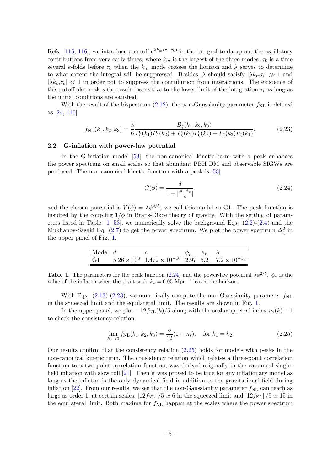Refs. [\[115,](#page-16-1) [116\]](#page-16-2), we introduce a cutoff  $e^{\lambda k_m(\tau-\tau_0)}$  in the integral to damp out the oscillatory contributions from very early times, where  $k_m$  is the largest of the three modes,  $\tau_0$  is a time several e-folds before  $\tau_c$  when the  $k_m$  mode crosses the horizon and  $\lambda$  serves to determine to what extent the integral will be suppressed. Besides,  $\lambda$  should satisfy  $|\lambda k_m \tau_i| \gg 1$  and  $|\lambda k_m \tau_c| \ll 1$  in order not to suppress the contribution from interactions. The existence of this cutoff also makes the result insensitive to the lower limit of the integration  $\tau_i$  as long as the initial conditions are satisfied.

With the result of the bispectrum  $(2.12)$ , the non-Gaussianity parameter  $f_{NL}$  is defined as [\[24,](#page-11-11) [110\]](#page-15-5)

<span id="page-5-3"></span>
$$
f_{\rm NL}(k_1, k_2, k_3) = \frac{5}{6} \frac{B_{\zeta}(k_1, k_2, k_3)}{P_{\zeta}(k_1)P_{\zeta}(k_2) + P_{\zeta}(k_2)P_{\zeta}(k_3) + P_{\zeta}(k_3)P_{\zeta}(k_1)}.
$$
(2.23)

#### <span id="page-5-0"></span>2.2 G-inflation with power-law potential

In the G-inflation model [\[53\]](#page-12-0), the non-canonical kinetic term with a peak enhances the power spectrum on small scales so that abundant PBH DM and observable SIGWs are produced. The non-canonical kinetic function with a peak is [\[53\]](#page-12-0)

<span id="page-5-2"></span><span id="page-5-1"></span>
$$
G(\phi) = \frac{d}{1 + |\frac{\phi - \phi_p}{c}|},\tag{2.24}
$$

and the chosen potential is  $V(\phi) = \lambda \phi^{2/5}$ , we call this model as G1. The peak function is inspired by the coupling  $1/\phi$  in Brans-Dikce theory of gravity. With the setting of param-eters listed in Table. [1](#page-5-1) [\[53\]](#page-12-0), we numerically solve the background Eqs.  $(2.2)-(2.4)$  $(2.2)-(2.4)$  $(2.2)-(2.4)$  and the Mukhanov-Sasaki Eq. [\(2.7\)](#page-3-0) to get the power spectrum. We plot the power spectrum  $\Delta_{\zeta}^2$  in the upper panel of Fig. [1.](#page-6-0)

| Model $d$ |                                                                                |  |  |
|-----------|--------------------------------------------------------------------------------|--|--|
| G1        | $5.26 \times 10^8$ $1.472 \times 10^{-10}$ $2.97$ $5.21$ $7.2 \times 10^{-10}$ |  |  |

**Table 1.** The parameters for the peak function [\(2.24\)](#page-5-2) and the power-law potential  $\lambda \phi^{2/5}$ .  $\phi_*$  is the value of the inflaton when the pivot scale  $k_* = 0.05 \text{ Mpc}^{-1}$  leaves the horizon.

With Eqs.  $(2.13)-(2.23)$  $(2.13)-(2.23)$  $(2.13)-(2.23)$ , we numerically compute the non-Gaussianity parameter  $f_{\rm NL}$ in the squeezed limit and the equilateral limit. The results are shown in Fig. [1.](#page-6-0)

In the upper panel, we plot  $-12f_{\text{NL}}(k)/5$  along with the scalar spectral index  $n_{\text{s}}(k) - 1$ to check the consistency relation

<span id="page-5-4"></span>
$$
\lim_{k_3 \to 0} f_{\rm NL}(k_1, k_2, k_3) = \frac{5}{12} (1 - n_{\rm s}), \quad \text{for } k_1 = k_2.
$$
 (2.25)

Our results confirm that the consistency relation [\(2.25\)](#page-5-4) holds for models with peaks in the non-canonical kinetic term. The consistency relation which relates a three-point correlation function to a two-point correlation function, was derived originally in the canonical singlefield inflation with slow roll [\[21\]](#page-11-6). Then it was proved to be true for any inflationary model as long as the inflaton is the only dynamical field in addition to the gravitational field during inflation [\[22\]](#page-11-10). From our results, we see that the non-Gaussianity parameter  $f_{\rm NL}$  can reach as large as order 1, at certain scales,  $|12f_{\rm NL}|/5 \simeq 6$  in the squeezed limit and  $|12f_{\rm NL}|/5 \simeq 15$  in the equilateral limit. Both maxima for  $f_{\rm NL}$  happen at the scales where the power spectrum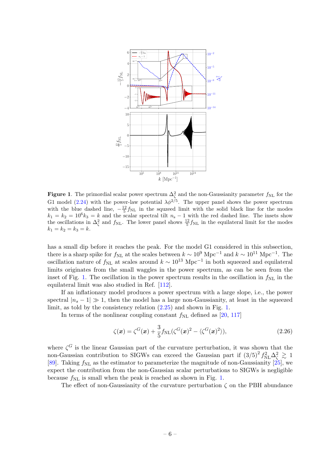<span id="page-6-0"></span>

**Figure 1**. The primordial scalar power spectrum  $\Delta_{\zeta}^2$  and the non-Gaussianity parameter  $f_{\text{NL}}$  for the G1 model [\(2.24\)](#page-5-2) with the power-law potential  $\lambda \phi^{2/5}$ . The upper panel shows the power spectrum with the blue dashed line,  $-\frac{12}{5}f_{\text{NL}}$  in the squzeed limit with the solid black line for the modes  $k_1 = k_2 = 10^6 k_3 = k$  and the scalar spectral tilt  $n_s - 1$  with the red dashed line. The insets show the oscillations in  $\Delta_{\zeta}^2$  and  $f_{\rm NL}$ . The lower panel shows  $\frac{12}{5} f_{\rm NL}$  in the equilateral limit for the modes  $k_1 = k_2 = k_3 = k.$ 

has a small dip before it reaches the peak. For the model G1 considered in this subsection, there is a sharp spike for  $f_{\rm NL}$  at the scales between  $k \sim 10^9$  Mpc<sup>-1</sup> and  $k \sim 10^{11}$  Mpc<sup>-1</sup>. The oscillation nature of  $f_{\rm NL}$  at scales around  $k \sim 10^{13}$  Mpc<sup>-1</sup> in both squeezed and equilateral limits originates from the small waggles in the power spectrum, as can be seen from the inset of Fig. [1.](#page-6-0) The oscillation in the power spectrum results in the oscillation in  $f_{\rm NL}$  in the equilateral limit was also studied in Ref. [\[112\]](#page-15-7).

If an inflationary model produces a power spectrum with a large slope, i.e., the power spectral  $|n_s - 1| \gg 1$ , then the model has a large non-Gaussianity, at least in the squeezed limit, as told by the consistency relation [\(2.25\)](#page-5-4) and shown in Fig. [1.](#page-6-0)

In terms of the nonlinear coupling constant  $f_{\rm NL}$  defined as [\[20,](#page-11-12) [117\]](#page-16-3)

$$
\zeta(\boldsymbol{x}) = \zeta^G(\boldsymbol{x}) + \frac{3}{5} f_{\text{NL}}(\zeta^G(\boldsymbol{x})^2 - \langle \zeta^G(\boldsymbol{x})^2 \rangle), \tag{2.26}
$$

where  $\zeta^G$  is the linear Gaussian part of the curvature perturbation, it was shown that the non-Gaussian contribution to SIGWs can exceed the Gaussian part if  $(3/5)^2 f_{NL}^2 \Delta_\zeta^2 \gtrsim 1$ [\[89\]](#page-14-2). Taking  $f_{\text{NL}}$  as the estimator to parameterize the magnitude of non-Gaussianity [\[25\]](#page-11-13), we expect the contribution from the non-Gaussian scalar perturbations to SIGWs is negligible because  $f_{\text{NL}}$  is small when the peak is reached as shown in Fig. [1.](#page-6-0)

The effect of non-Gaussianity of the curvature perturbation  $\zeta$  on the PBH abundance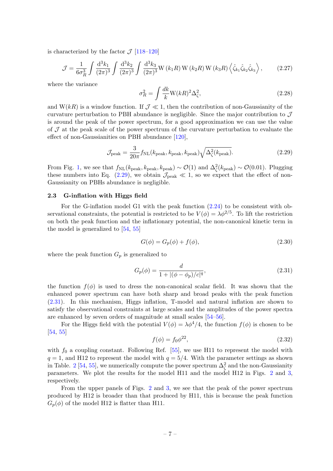is characterized by the factor  $\mathcal{J}$  [\[118](#page-16-4)[–120\]](#page-16-5)

$$
\mathcal{J} = \frac{1}{6\sigma_R^3} \int \frac{\mathrm{d}^3 k_1}{(2\pi)^3} \int \frac{\mathrm{d}^3 k_2}{(2\pi)^3} \int \frac{\mathrm{d}^3 k_3}{(2\pi)^3} \mathbf{W} \left(k_1 R\right) \mathbf{W} \left(k_2 R\right) \mathbf{W} \left(k_3 R\right) \left\langle \hat{\zeta}_{k_1} \hat{\zeta}_{k_2} \hat{\zeta}_{k_3} \right\rangle, \tag{2.27}
$$

where the variance

$$
\sigma_R^2 = \int \frac{dk}{k} \mathbf{W}(kR)^2 \Delta_\zeta^2,\tag{2.28}
$$

and  $W(kR)$  is a window function. If  $\mathcal{J} \ll 1$ , then the contribution of non-Gaussianity of the curvature perturbation to PBH abundance is negligible. Since the major contribution to J is around the peak of the power spectrum, for a good approximation we can use the value of  $\mathcal J$  at the peak scale of the power spectrum of the curvature perturbation to evaluate the effect of non-Gaussianities on PBH abundance [\[120\]](#page-16-5),

<span id="page-7-1"></span>
$$
\mathcal{J}_{\text{peak}} = \frac{3}{20\pi} f_{\text{NL}}(k_{\text{peak}}, k_{\text{peak}}, k_{\text{peak}}) \sqrt{\Delta_{\zeta}^2(k_{\text{peak}})}.
$$
 (2.29)

From Fig. [1,](#page-6-0) we see that  $f_{\text{NL}}(k_{\text{peak}}, k_{\text{peak}}) \sim \mathcal{O}(1)$  and  $\Delta_{\zeta}^2(k_{\text{peak}}) \sim \mathcal{O}(0.01)$ . Plugging these numbers into Eq. [\(2.29\)](#page-7-1), we obtain  $\mathcal{J}_{peak} \ll 1$ , so we expect that the effect of non-Gaussianity on PBHs abundance is negligible.

# <span id="page-7-0"></span>2.3 G-inflation with Higgs field

For the G-inflation model G1 with the peak function [\(2.24\)](#page-5-2) to be consistent with observational constraints, the potential is restricted to be  $V(\phi) = \lambda \phi^{2/5}$ . To lift the restriction on both the peak function and the inflationary potential, the non-canonical kinetic term in the model is generalized to [\[54,](#page-13-4) [55\]](#page-13-3)

$$
G(\phi) = G_p(\phi) + f(\phi),\tag{2.30}
$$

where the peak function  $G_p$  is generalized to

<span id="page-7-2"></span>
$$
G_p(\phi) = \frac{d}{1 + |(\phi - \phi_p)/c|^q},\tag{2.31}
$$

the function  $f(\phi)$  is used to dress the non-canonical scalar field. It was shown that the enhanced power spectrum can have both sharp and broad peaks with the peak function [\(2.31\)](#page-7-2). In this mechanism, Higgs inflation, T-model and natural inflation are shown to satisfy the observational constraints at large scales and the amplitudes of the power spectra are enhanced by seven orders of magnitude at small scales [\[54–](#page-13-4)[56\]](#page-13-2).

For the Higgs field with the potential  $V(\phi) = \lambda \phi^4/4$ , the function  $f(\phi)$  is chosen to be [\[54,](#page-13-4) [55\]](#page-13-3)

$$
f(\phi) = f_0 \phi^{22},\tag{2.32}
$$

with  $f_0$  a coupling constant. Following Ref. [\[55\]](#page-13-3), we use H11 to represent the model with  $q = 1$ , and H12 to represent the model with  $q = 5/4$ . With the parameter settings as shown in Table. [2](#page-8-0) [\[54,](#page-13-4) [55\]](#page-13-3), we numerically compute the power spectrum  $\Delta_{\zeta}^2$  and the non-Gaussianity parameters. We plot the results for the model H11 and the model H12 in Figs. [2](#page-8-1) and [3,](#page-9-1) respectively.

From the upper panels of Figs. [2](#page-8-1) and [3,](#page-9-1) we see that the peak of the power spectrum produced by H12 is broader than that produced by H11, this is because the peak function  $G_p(\phi)$  of the model H12 is flatter than H11.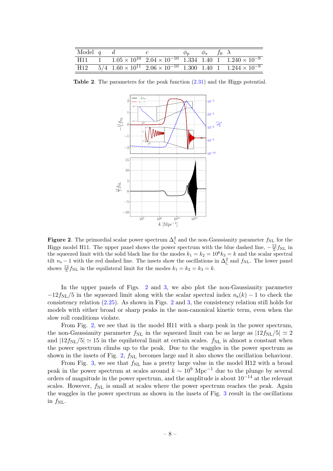| Model $q$ d |  | $\phi_p$ $\phi_*$ $f_0$ $\lambda$ |  |                                                                                                                  |
|-------------|--|-----------------------------------|--|------------------------------------------------------------------------------------------------------------------|
|             |  |                                   |  | H11 1 $1.05 \times 10^{10}$ $2.04 \times 10^{-10}$ 1.334 1.40 1 $1.240 \times 10^{-9}$                           |
|             |  |                                   |  | $\text{H}12$ $\text{5}/4$ $1.60 \times 10^{11}$ $2.06 \times 10^{-10}$ $1.300$ $1.40$ $1$ $1.244 \times 10^{-9}$ |

Table 2. The parameters for the peak function [\(2.31\)](#page-7-2) and the Higgs potential.

<span id="page-8-1"></span><span id="page-8-0"></span>

**Figure 2**. The primordial scalar power spectrum  $\Delta_{\zeta}^2$  and the non-Gaussianity parameter  $f_{\text{NL}}$  for the Higgs model H11. The upper panel shows the power spectrum with the blue dashed line,  $-\frac{12}{5}f_{\rm NL}$  in the squeezed limit with the solid black line for the modes  $k_1 = k_2 = 10^6 k_3 = k$  and the scalar spectral tilt  $n_s - 1$  with the red dashed line. The insets show the oscillations in  $\Delta_{\zeta}^2$  and  $f_{\rm NL}$ . The lower panel shows  $\frac{12}{5} f_{\text{NL}}$  in the equilateral limit for the modes  $k_1 = k_2 = k_3 = k$ .

In the upper panels of Figs. [2](#page-8-1) and [3,](#page-9-1) we also plot the non-Gaussianity parameter  $-12f_{\rm NL}/5$  in the squeezed limit along with the scalar spectral index  $n_s(k) - 1$  to check the consistency relation [\(2.25\)](#page-5-4). As shown in Figs. [2](#page-8-1) and [3,](#page-9-1) the consistency relation still holds for models with either broad or sharp peaks in the non-canonical kinetic term, even when the slow roll conditions violate.

From Fig. [2,](#page-8-1) we see that in the model H11 with a sharp peak in the power spectrum, the non-Gaussianity parameter  $f_{\text{NL}}$  in the squeezed limit can be as large as  $|12f_{\text{NL}}/5| \simeq 2$ and  $|12f_{\text{NL}}/5| \simeq 15$  in the equilateral limit at certain scales.  $f_{\text{NL}}$  is almost a constant when the power spectrum climbs up to the peak. Due to the waggles in the power spectrum as shown in the insets of Fig. [2,](#page-8-1)  $f_{\rm NL}$  becomes large and it also shows the oscillation behaviour.

From Fig. [3,](#page-9-1) we see that  $f_{\rm NL}$  has a pretty large value in the model H12 with a broad peak in the power spectrum at scales around  $k \sim 10^9 \text{ Mpc}^{-1}$  due to the plunge by several orders of magnitude in the power spectrum, and the amplitude is about  $10^{-14}$  at the relevant scales. However,  $f_{\rm NL}$  is small at scales where the power spectrum reaches the peak. Again the waggles in the power spectrum as shown in the insets of Fig. [3](#page-9-1) result in the oscillations in  $f_{\rm NL}$ .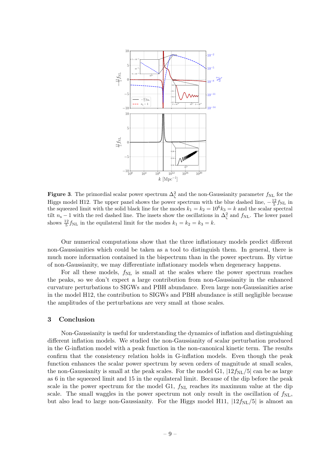<span id="page-9-1"></span>

**Figure 3**. The primordial scalar power spectrum  $\Delta_{\zeta}^2$  and the non-Gaussianity parameter  $f_{\rm NL}$  for the Higgs model H12. The upper panel shows the power spectrum with the blue dashed line,  $-\frac{12}{5}f_{\rm NL}$  in the squeezed limit with the solid black line for the modes  $k_1 = k_2 = 10^6 k_3 = k$  and the scalar spectral tilt  $n_s - 1$  with the red dashed line. The insets show the oscillations in  $\Delta_{\zeta}^2$  and  $f_{\rm NL}$ . The lower panel shows  $\frac{12}{5} f_{\text{NL}}$  in the equilateral limit for the modes  $k_1 = k_2 = k_3 = k$ .

Our numerical computations show that the three inflationary models predict different non-Gaussianities which could be taken as a tool to distinguish them. In general, there is much more information contained in the bispectrum than in the power spectrum. By virtue of non-Gaussianity, we may differentiate inflationary models when degeneracy happens.

For all these models,  $f_{\rm NL}$  is small at the scales where the power spectrum reaches the peaks, so we don't expect a large contribution from non-Gaussianity in the enhanced curvature perturbations to SIGWs and PBH abundance. Even large non-Gaussianities arise in the model H12, the contribution to SIGWs and PBH abundance is still negligible because the amplitudes of the perturbations are very small at those scales.

#### <span id="page-9-0"></span>3 Conclusion

Non-Gaussianity is useful for understanding the dynamics of inflation and distinguishing different inflation models. We studied the non-Gaussianity of scalar perturbation produced in the G-inflation model with a peak function in the non-canonical kinetic term. The results confirm that the consistency relation holds in G-inflation models. Even though the peak function enhances the scalar power spectrum by seven orders of magnitude at small scales, the non-Gaussianity is small at the peak scales. For the model G1,  $|12f_{\text{NL}}/5|$  can be as large as 6 in the squeezed limit and 15 in the equilateral limit. Because of the dip before the peak scale in the power spectrum for the model G1,  $f_{NL}$  reaches its maximum value at the dip scale. The small waggles in the power spectrum not only result in the oscillation of  $f_{\rm NL}$ , but also lead to large non-Gaussianity. For the Higgs model H11,  $|12f_{\rm NL}/5|$  is almost an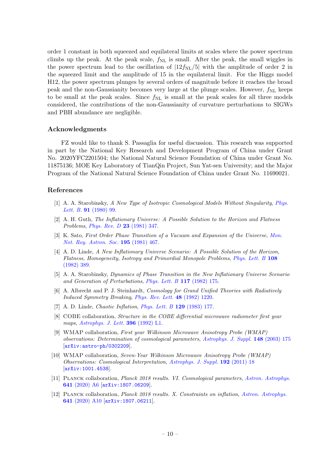order 1 constant in both squeezed and equilateral limits at scales where the power spectrum climbs up the peak. At the peak scale,  $f_{NL}$  is small. After the peak, the small wiggles in the power spectrum lead to the oscillation of  $[12f_{\text{NL}}/5]$  with the amplitude of order 2 in the squeezed limit and the amplitude of 15 in the equilateral limit. For the Higgs model H12, the power spectrum plunges by several orders of magnitude before it reaches the broad peak and the non-Gaussianity becomes very large at the plunge scales. However,  $f_{\rm NL}$  keeps to be small at the peak scales. Since  $f_{NL}$  is small at the peak scales for all three models considered, the contributions of the non-Gaussianity of curvature perturbations to SIGWs and PBH abundance are negligible.

## Acknowledgments

FZ would like to thank S. Passaglia for useful discussion. This research was supported in part by the National Key Research and Development Program of China under Grant No. 2020YFC2201504; the National Natural Science Foundation of China under Grant No. 11875136; MOE Key Laboratory of TianQin Project, Sun Yat-sen University; and the Major Program of the National Natural Science Foundation of China under Grant No. 11690021.

#### References

- <span id="page-10-0"></span>[1] A. A. Starobinsky, A New Type of Isotropic Cosmological Models Without Singularity, [Phys.](https://doi.org/10.1016/0370-2693(80)90670-X) Lett. B. **91** [\(1980\) 99.](https://doi.org/10.1016/0370-2693(80)90670-X)
- [2] A. H. Guth, The Inflationary Universe: A Possible Solution to the Horizon and Flatness Problems, [Phys. Rev. D](https://doi.org/10.1103/PhysRevD.23.347) 23 (1981) 347.
- [3] K. Sato, First Order Phase Transition of a Vacuum and Expansion of the Universe, [Mon.](https://doi.org/10.1093/mnras/195.3.467) [Not. Roy. Astron. Soc.](https://doi.org/10.1093/mnras/195.3.467) 195 (1981) 467.
- [4] A. D. Linde, A New Inflationary Universe Scenario: A Possible Solution of the Horizon, Flatness, Homogeneity, Isotropy and Primordial Monopole Problems, [Phys. Lett. B](https://doi.org/10.1016/0370-2693(82)91219-9) 108 [\(1982\) 389.](https://doi.org/10.1016/0370-2693(82)91219-9)
- [5] A. A. Starobinsky, Dynamics of Phase Transition in the New Inflationary Universe Scenario and Generation of Perturbations, [Phys. Lett. B](https://doi.org/10.1016/0370-2693(82)90541-X) 117 (1982) 175.
- [6] A. Albrecht and P. J. Steinhardt, *Cosmology for Grand Unified Theories with Radiatively* Induced Symmetry Breaking, [Phys. Rev. Lett.](https://doi.org/10.1103/PhysRevLett.48.1220) 48 (1982) 1220.
- <span id="page-10-1"></span>[7] A. D. Linde, Chaotic Inflation, [Phys. Lett. B](https://doi.org/10.1016/0370-2693(83)90837-7) 129 (1983) 177.
- <span id="page-10-2"></span>[8] COBE collaboration, *Structure in the COBE differential microwave radiometer first year* maps, [Astrophys. J. Lett.](https://doi.org/10.1086/186504) **396** (1992) L1.
- [9] WMAP collaboration, First year Wilkinson Microwave Anisotropy Probe (WMAP) observations: Determination of cosmological parameters, [Astrophys. J. Suppl.](https://doi.org/10.1086/377226) 148 (2003) 175 [[arXiv:astro-ph/0302209](https://arxiv.org/abs/astro-ph/0302209)].
- [10] WMAP collaboration, Seven-Year Wilkinson Microwave Anisotropy Probe (WMAP) Observations: Cosmological Interpretation, [Astrophys. J. Suppl.](https://doi.org/10.1088/0067-0049/192/2/18) 192 (2011) 18 [[arXiv:1001.4538](https://arxiv.org/abs/1001.4538)].
- [11] Planck collaboration, Planck 2018 results. VI. Cosmological parameters, [Astron. Astrophys.](https://doi.org/10.1051/0004-6361/201833910) 641 [\(2020\) A6](https://doi.org/10.1051/0004-6361/201833910) [[arXiv:1807.06209](https://arxiv.org/abs/1807.06209)].
- <span id="page-10-3"></span>[12] Planck collaboration, Planck 2018 results. X. Constraints on inflation, [Astron. Astrophys.](https://doi.org/10.1051/0004-6361/201833887) 641 [\(2020\) A10](https://doi.org/10.1051/0004-6361/201833887) [[arXiv:1807.06211](https://arxiv.org/abs/1807.06211)].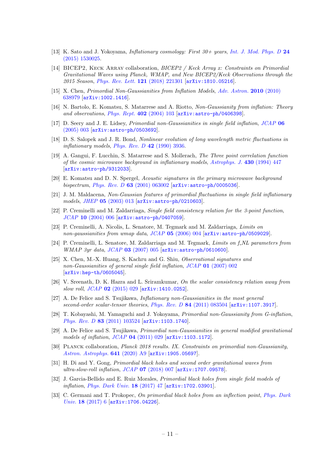- <span id="page-11-0"></span>[13] K. Sato and J. Yokoyama, Inflationary cosmology: First 30+ years, [Int. J. Mod. Phys. D](https://doi.org/10.1142/S0218271815300256) 24 [\(2015\) 1530025.](https://doi.org/10.1142/S0218271815300256)
- <span id="page-11-1"></span>[14] BICEP2, KECK ARRAY collaboration, *BICEP2 / Keck Array x: Constraints on Primordial* Gravitational Waves using Planck, WMAP, and New BICEP2/Keck Observations through the 2015 Season, [Phys. Rev. Lett.](https://doi.org/10.1103/PhysRevLett.121.221301) 121 (2018) 221301 [[arXiv:1810.05216](https://arxiv.org/abs/1810.05216)].
- <span id="page-11-2"></span>[15] X. Chen, Primordial Non-Gaussianities from Inflation Models, [Adv. Astron.](https://doi.org/10.1155/2010/638979) 2010 (2010) [638979](https://doi.org/10.1155/2010/638979) [[arXiv:1002.1416](https://arxiv.org/abs/1002.1416)].
- <span id="page-11-9"></span>[16] N. Bartolo, E. Komatsu, S. Matarrese and A. Riotto, Non-Gaussianity from inflation: Theory and observations, [Phys. Rept.](https://doi.org/10.1016/j.physrep.2004.08.022) 402 (2004) 103 [[arXiv:astro-ph/0406398](https://arxiv.org/abs/astro-ph/0406398)].
- <span id="page-11-3"></span>[17] D. Seery and J. E. Lidsey, Primordial non-Gaussianities in single field inflation, [JCAP](https://doi.org/10.1088/1475-7516/2005/06/003) 06 [\(2005\) 003](https://doi.org/10.1088/1475-7516/2005/06/003) [[arXiv:astro-ph/0503692](https://arxiv.org/abs/astro-ph/0503692)].
- <span id="page-11-4"></span>[18] D. S. Salopek and J. R. Bond, Nonlinear evolution of long wavelength metric fluctuations in inflationary models, Phys. Rev.  $D$  42 (1990) 3936.
- [19] A. Gangui, F. Lucchin, S. Matarrese and S. Mollerach, The Three point correlation function of the cosmic microwave background in inflationary models, [Astrophys. J.](https://doi.org/10.1086/174421) 430 (1994) 447 [[arXiv:astro-ph/9312033](https://arxiv.org/abs/astro-ph/9312033)].
- <span id="page-11-12"></span>[20] E. Komatsu and D. N. Spergel, Acoustic signatures in the primary microwave background bispectrum, Phys. Rev. D 63 [\(2001\) 063002](https://doi.org/10.1103/PhysRevD.63.063002)  $\ar{xiv:astro-ph/0005036}$ .
- <span id="page-11-6"></span>[21] J. M. Maldacena, Non-Gaussian features of primordial fluctuations in single field inflationary models, JHEP 05 [\(2003\) 013](https://doi.org/10.1088/1126-6708/2003/05/013) [[arXiv:astro-ph/0210603](https://arxiv.org/abs/astro-ph/0210603)].
- <span id="page-11-10"></span>[22] P. Creminelli and M. Zaldarriaga, Single field consistency relation for the 3-point function,  $JCAP$  10 [\(2004\) 006](https://doi.org/10.1088/1475-7516/2004/10/006)  $\arxiv:astro-ph/0407059$ .
- [23] P. Creminelli, A. Nicolis, L. Senatore, M. Tegmark and M. Zaldarriaga, Limits on non-gaussianities from wmap data,  $JCAP$  05 [\(2006\) 004](https://doi.org/10.1088/1475-7516/2006/05/004)  $\ar{xiv:astro-ph/0509029}$ .
- <span id="page-11-11"></span>[24] P. Creminelli, L. Senatore, M. Zaldarriaga and M. Tegmark, Limits on f.NL parameters from WMAP 3yr data, JCAP 03 [\(2007\) 005](https://doi.org/10.1088/1475-7516/2007/03/005) [[arXiv:astro-ph/0610600](https://arxiv.org/abs/astro-ph/0610600)].
- <span id="page-11-13"></span>[25] X. Chen, M.-X. Huang, S. Kachru and G. Shiu, Observational signatures and non-Gaussianities of general single field inflation, JCAP 01 [\(2007\) 002](https://doi.org/10.1088/1475-7516/2007/01/002) [[arXiv:hep-th/0605045](https://arxiv.org/abs/hep-th/0605045)].
- [26] V. Sreenath, D. K. Hazra and L. Sriramkumar, On the scalar consistency relation away from slow roll,  $JCAP$  02 [\(2015\) 029](https://doi.org/10.1088/1475-7516/2015/02/029)  $\alpha$ xiv:1410.0252.
- [27] A. De Felice and S. Tsujikawa, *Inflationary non-Gaussianities in the most general* second-order scalar-tensor theories, Phys. Rev. D 84 [\(2011\) 083504](https://doi.org/10.1103/PhysRevD.84.083504) [[arXiv:1107.3917](https://arxiv.org/abs/1107.3917)].
- [28] T. Kobayashi, M. Yamaguchi and J. Yokoyama, Primordial non-Gaussianity from G-inflation, Phys. Rev. D 83 [\(2011\) 103524](https://doi.org/10.1103/PhysRevD.83.103524) [[arXiv:1103.1740](https://arxiv.org/abs/1103.1740)].
- <span id="page-11-5"></span>[29] A. De Felice and S. Tsujikawa, Primordial non-Gaussianities in general modified gravitational models of inflation, JCAP 04 [\(2011\) 029](https://doi.org/10.1088/1475-7516/2011/04/029) [[arXiv:1103.1172](https://arxiv.org/abs/1103.1172)].
- <span id="page-11-7"></span>[30] Planck collaboration, Planck 2018 results. IX. Constraints on primordial non-Gaussianity, [Astron. Astrophys.](https://doi.org/10.1051/0004-6361/201935891) 641 (2020) A9 [[arXiv:1905.05697](https://arxiv.org/abs/1905.05697)].
- <span id="page-11-8"></span>[31] H. Di and Y. Gong, Primordial black holes and second order gravitational waves from ultra-slow-roll inflation, JCAP 07 [\(2018\) 007](https://doi.org/10.1088/1475-7516/2018/07/007) [[arXiv:1707.09578](https://arxiv.org/abs/1707.09578)].
- [32] J. Garcia-Bellido and E. Ruiz Morales, *Primordial black holes from single field models of* inflation, *[Phys. Dark Univ.](https://doi.org/10.1016/j.dark.2017.09.007)* **18** (2017) 47 [[arXiv:1702.03901](https://arxiv.org/abs/1702.03901)].
- [33] C. Germani and T. Prokopec, On primordial black holes from an inflection point, [Phys. Dark](https://doi.org/10.1016/j.dark.2017.09.001) Univ. 18 [\(2017\) 6](https://doi.org/10.1016/j.dark.2017.09.001) [[arXiv:1706.04226](https://arxiv.org/abs/1706.04226)].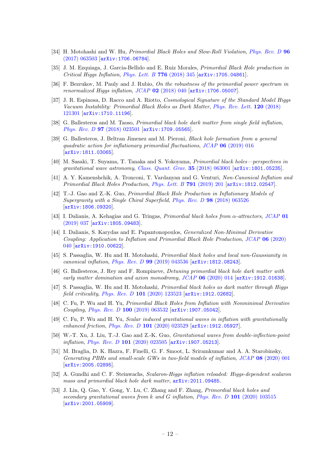- [34] H. Motohashi and W. Hu, *Primordial Black Holes and Slow-Roll Violation, [Phys. Rev. D](https://doi.org/10.1103/PhysRevD.96.063503)* 96 [\(2017\) 063503](https://doi.org/10.1103/PhysRevD.96.063503) [[arXiv:1706.06784](https://arxiv.org/abs/1706.06784)].
- [35] J. M. Ezquiaga, J. Garcia-Bellido and E. Ruiz Morales, Primordial Black Hole production in Critical Higgs Inflation, [Phys. Lett. B](https://doi.org/10.1016/j.physletb.2017.11.039) 776 (2018) 345  $\arcsin 1705.04861$ .
- [36] F. Bezrukov, M. Pauly and J. Rubio, On the robustness of the primordial power spectrum in renormalized Higgs inflation,  $JCAP$  02 [\(2018\) 040](https://doi.org/10.1088/1475-7516/2018/02/040)  $\ar{xiv:1706.05007}$ .
- [37] J. R. Espinosa, D. Racco and A. Riotto, Cosmological Signature of the Standard Model Higgs Vacuum Instability: Primordial Black Holes as Dark Matter, [Phys. Rev. Lett.](https://doi.org/10.1103/PhysRevLett.120.121301) 120 (2018) [121301](https://doi.org/10.1103/PhysRevLett.120.121301) [[arXiv:1710.11196](https://arxiv.org/abs/1710.11196)].
- [38] G. Ballesteros and M. Taoso, Primordial black hole dark matter from single field inflation, Phys. Rev. D 97 [\(2018\) 023501](https://doi.org/10.1103/PhysRevD.97.023501) [[arXiv:1709.05565](https://arxiv.org/abs/1709.05565)].
- [39] G. Ballesteros, J. Beltran Jimenez and M. Pieroni, Black hole formation from a general quadratic action for inflationary primordial fluctuations, JCAP 06 [\(2019\) 016](https://doi.org/10.1088/1475-7516/2019/06/016) [[arXiv:1811.03065](https://arxiv.org/abs/1811.03065)].
- [40] M. Sasaki, T. Suyama, T. Tanaka and S. Yokoyama, Primordial black holes—perspectives in gravitational wave astronomy, [Class. Quant. Grav.](https://doi.org/10.1088/1361-6382/aaa7b4) 35 (2018) 063001 [[arXiv:1801.05235](https://arxiv.org/abs/1801.05235)].
- [41] A. Y. Kamenshchik, A. Tronconi, T. Vardanyan and G. Venturi, Non-Canonical Inflation and Primordial Black Holes Production, [Phys. Lett. B](https://doi.org/10.1016/j.physletb.2019.02.036) 791 (2019) 201 [[arXiv:1812.02547](https://arxiv.org/abs/1812.02547)].
- [42] T.-J. Gao and Z.-K. Guo, Primordial Black Hole Production in Inflationary Models of Supergravity with a Single Chiral Superfield, Phys. Rev. D 98 [\(2018\) 063526](https://doi.org/10.1103/PhysRevD.98.063526) [[arXiv:1806.09320](https://arxiv.org/abs/1806.09320)].
- [43] I. Dalianis, A. Kehagias and G. Tringas, *Primordial black holes from*  $\alpha$ *-attractors*, *[JCAP](https://doi.org/10.1088/1475-7516/2019/01/037)* 01 [\(2019\) 037](https://doi.org/10.1088/1475-7516/2019/01/037) [[arXiv:1805.09483](https://arxiv.org/abs/1805.09483)].
- [44] I. Dalianis, S. Karydas and E. Papantonopoulos, Generalized Non-Minimal Derivative Coupling: Application to Inflation and Primordial Black Hole Production, JCAP 06 [\(2020\)](https://doi.org/10.1088/1475-7516/2020/06/040) [040](https://doi.org/10.1088/1475-7516/2020/06/040) [[arXiv:1910.00622](https://arxiv.org/abs/1910.00622)].
- [45] S. Passaglia, W. Hu and H. Motohashi, Primordial black holes and local non-Gaussianity in canonical inflation, Phys. Rev. D 99 [\(2019\) 043536](https://doi.org/10.1103/PhysRevD.99.043536) [[arXiv:1812.08243](https://arxiv.org/abs/1812.08243)].
- [46] G. Ballesteros, J. Rey and F. Rompineve, Detuning primordial black hole dark matter with early matter domination and axion monodromy, JCAP 06 [\(2020\) 014](https://doi.org/10.1088/1475-7516/2020/06/014) [[arXiv:1912.01638](https://arxiv.org/abs/1912.01638)].
- [47] S. Passaglia, W. Hu and H. Motohashi, *Primordial black holes as dark matter through Higgs* field criticality, Phys. Rev. D 101 [\(2020\) 123523](https://doi.org/10.1103/PhysRevD.101.123523) [[arXiv:1912.02682](https://arxiv.org/abs/1912.02682)].
- [48] C. Fu, P. Wu and H. Yu, Primordial Black Holes from Inflation with Nonminimal Derivative Coupling, Phys. Rev. D 100 [\(2019\) 063532](https://doi.org/10.1103/PhysRevD.100.063532) [[arXiv:1907.05042](https://arxiv.org/abs/1907.05042)].
- [49] C. Fu, P. Wu and H. Yu, Scalar induced gravitational waves in inflation with gravitationally enhanced friction, Phys. Rev. D 101 [\(2020\) 023529](https://doi.org/10.1103/PhysRevD.101.023529) [[arXiv:1912.05927](https://arxiv.org/abs/1912.05927)].
- [50] W.-T. Xu, J. Liu, T.-J. Gao and Z.-K. Guo, Gravitational waves from double-inflection-point inflation, Phys. Rev. D 101 [\(2020\) 023505](https://doi.org/10.1103/PhysRevD.101.023505) [[arXiv:1907.05213](https://arxiv.org/abs/1907.05213)].
- [51] M. Braglia, D. K. Hazra, F. Finelli, G. F. Smoot, L. Sriramkumar and A. A. Starobinsky, Generating PBHs and small-scale GWs in two-field models of inflation, JCAP 08 [\(2020\) 001](https://doi.org/10.1088/1475-7516/2020/08/001) [[arXiv:2005.02895](https://arxiv.org/abs/2005.02895)].
- [52] A. Gundhi and C. F. Steinwachs, Scalaron-Higgs inflation reloaded: Higgs-dependent scalaron mass and primordial black hole dark matter, [arXiv:2011.09485](https://arxiv.org/abs/2011.09485).
- <span id="page-12-0"></span>[53] J. Lin, Q. Gao, Y. Gong, Y. Lu, C. Zhang and F. Zhang, Primordial black holes and secondary gravitational waves from k and G inflation, Phys. Rev. D 101 [\(2020\) 103515](https://doi.org/10.1103/PhysRevD.101.103515) [[arXiv:2001.05909](https://arxiv.org/abs/2001.05909)].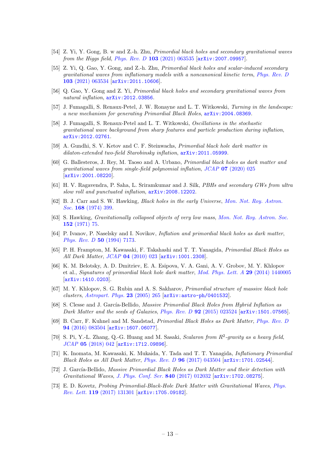- <span id="page-13-4"></span>[54] Z. Yi, Y. Gong, B. w and Z.-h. Zhu, Primordial black holes and secondary gravitational waves from the Higgs field, Phys. Rev. D  $103$  [\(2021\) 063535](https://doi.org/10.1103/PhysRevD.103.063535)  $\text{arXiv:}2007.09957$ .
- <span id="page-13-3"></span>[55] Z. Yi, Q. Gao, Y. Gong, and Z.-h. Zhu, Primordial black holes and scalar-induced secondary gravitational waves from inflationary models with a noncanonical kinetic term, [Phys. Rev. D](https://doi.org/10.1103/PhysRevD.103.063534) 103 [\(2021\) 063534](https://doi.org/10.1103/PhysRevD.103.063534) [[arXiv:2011.10606](https://arxiv.org/abs/2011.10606)].
- <span id="page-13-2"></span>[56] Q. Gao, Y. Gong and Z. Yi, Primordial black holes and secondary gravitational waves from natural inflation,  $arXiv:2012.03856$ .
- [57] J. Fumagalli, S. Renaux-Petel, J. W. Ronayne and L. T. Witkowski, Turning in the landscape: a new mechanism for generating Primordial Black Holes, [arXiv:2004.08369](https://arxiv.org/abs/2004.08369).
- [58] J. Fumagalli, S. Renaux-Petel and L. T. Witkowski, Oscillations in the stochastic gravitational wave background from sharp features and particle production during inflation, [arXiv:2012.02761](https://arxiv.org/abs/2012.02761).
- [59] A. Gundhi, S. V. Ketov and C. F. Steinwachs, Primordial black hole dark matter in dilaton-extended two-field Starobinsky inflation, [arXiv:2011.05999](https://arxiv.org/abs/2011.05999).
- [60] G. Ballesteros, J. Rey, M. Taoso and A. Urbano, Primordial black holes as dark matter and gravitational waves from single-field polynomial inflation, JCAP 07 [\(2020\) 025](https://doi.org/10.1088/1475-7516/2020/07/025) [[arXiv:2001.08220](https://arxiv.org/abs/2001.08220)].
- <span id="page-13-0"></span>[61] H. V. Ragavendra, P. Saha, L. Sriramkumar and J. Silk, PBHs and secondary GWs from ultra slow roll and punctuated inflation, [arXiv:2008.12202](https://arxiv.org/abs/2008.12202).
- <span id="page-13-1"></span>[62] B. J. Carr and S. W. Hawking, Black holes in the early Universe, [Mon. Not. Roy. Astron.](https://doi.org/10.1093/mnras/168.2.399) Soc. 168 [\(1974\) 399.](https://doi.org/10.1093/mnras/168.2.399)
- [63] S. Hawking, Gravitationally collapsed objects of very low mass, [Mon. Not. Roy. Astron. Soc.](https://doi.org/10.1093/mnras/152.1.75) 152 [\(1971\) 75.](https://doi.org/10.1093/mnras/152.1.75)
- [64] P. Ivanov, P. Naselsky and I. Novikov, Inflation and primordial black holes as dark matter, [Phys. Rev. D](https://doi.org/10.1103/PhysRevD.50.7173) 50 (1994) 7173.
- [65] P. H. Frampton, M. Kawasaki, F. Takahashi and T. T. Yanagida, Primordial Black Holes as All Dark Matter, JCAP 04 [\(2010\) 023](https://doi.org/10.1088/1475-7516/2010/04/023) [[arXiv:1001.2308](https://arxiv.org/abs/1001.2308)].
- [66] K. M. Belotsky, A. D. Dmitriev, E. A. Esipova, V. A. Gani, A. V. Grobov, M. Y. Khlopov et al., Signatures of primordial black hole dark matter, [Mod. Phys. Lett. A](https://doi.org/10.1142/S0217732314400057) 29 (2014) 1440005 [[arXiv:1410.0203](https://arxiv.org/abs/1410.0203)].
- [67] M. Y. Khlopov, S. G. Rubin and A. S. Sakharov, Primordial structure of massive black hole clusters, [Astropart. Phys.](https://doi.org/10.1016/j.astropartphys.2004.12.002) **23** (2005) 265  $arXiv:astro-ph/0401532$ .
- [68] S. Clesse and J. García-Bellido, Massive Primordial Black Holes from Hybrid Inflation as Dark Matter and the seeds of Galaxies, Phys. Rev. D  $92$  [\(2015\) 023524](https://doi.org/10.1103/PhysRevD.92.023524) [[arXiv:1501.07565](https://arxiv.org/abs/1501.07565)].
- [69] B. Carr, F. Kuhnel and M. Sandstad, Primordial Black Holes as Dark Matter, [Phys. Rev. D](https://doi.org/10.1103/PhysRevD.94.083504) 94 [\(2016\) 083504](https://doi.org/10.1103/PhysRevD.94.083504) [[arXiv:1607.06077](https://arxiv.org/abs/1607.06077)].
- [70] S. Pi, Y.-L. Zhang, Q.-G. Huang and M. Sasaki, Scalaron from  $R^2$ -gravity as a heavy field, JCAP 05 [\(2018\) 042](https://doi.org/10.1088/1475-7516/2018/05/042) [[arXiv:1712.09896](https://arxiv.org/abs/1712.09896)].
- [71] K. Inomata, M. Kawasaki, K. Mukaida, Y. Tada and T. T. Yanagida, Inflationary Primordial Black Holes as All Dark Matter, Phys. Rev. D 96 [\(2017\) 043504](https://doi.org/10.1103/PhysRevD.96.043504) [[arXiv:1701.02544](https://arxiv.org/abs/1701.02544)].
- [72] J. García-Bellido, Massive Primordial Black Holes as Dark Matter and their detection with Gravitational Waves, [J. Phys. Conf. Ser.](https://doi.org/10.1088/1742-6596/840/1/012032) 840 (2017) 012032 [[arXiv:1702.08275](https://arxiv.org/abs/1702.08275)].
- [73] E. D. Kovetz, Probing Primordial-Black-Hole Dark Matter with Gravitational Waves, [Phys.](https://doi.org/10.1103/PhysRevLett.119.131301) Rev. Lett. 119 [\(2017\) 131301](https://doi.org/10.1103/PhysRevLett.119.131301) [[arXiv:1705.09182](https://arxiv.org/abs/1705.09182)].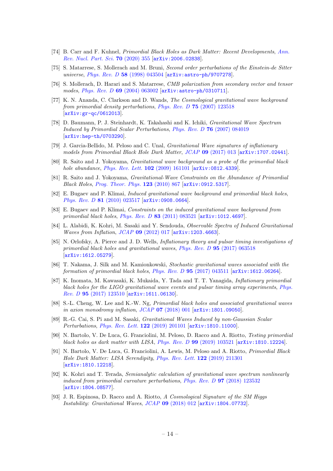- <span id="page-14-0"></span>[74] B. Carr and F. Kuhnel, Primordial Black Holes as Dark Matter: Recent Developments, [Ann.](https://doi.org/10.1146/annurev-nucl-050520-125911) [Rev. Nucl. Part. Sci.](https://doi.org/10.1146/annurev-nucl-050520-125911) 70 (2020) 355 [[arXiv:2006.02838](https://arxiv.org/abs/2006.02838)].
- <span id="page-14-1"></span>[75] S. Matarrese, S. Mollerach and M. Bruni, Second order perturbations of the Einstein-de Sitter universe, *Phys. Rev. D* 58 [\(1998\) 043504](https://doi.org/10.1103/PhysRevD.58.043504)  $\ar{xiv:astro-ph/9707278}$ .
- [76] S. Mollerach, D. Harari and S. Matarrese, CMB polarization from secondary vector and tensor modes, Phys. Rev. D 69 [\(2004\) 063002](https://doi.org/10.1103/PhysRevD.69.063002) [[arXiv:astro-ph/0310711](https://arxiv.org/abs/astro-ph/0310711)].
- [77] K. N. Ananda, C. Clarkson and D. Wands, The Cosmological gravitational wave background from primordial density perturbations, Phys. Rev. D 75 [\(2007\) 123518](https://doi.org/10.1103/PhysRevD.75.123518) [[arXiv:gr-qc/0612013](https://arxiv.org/abs/gr-qc/0612013)].
- [78] D. Baumann, P. J. Steinhardt, K. Takahashi and K. Ichiki, Gravitational Wave Spectrum Induced by Primordial Scalar Perturbations, Phys. Rev. D 76 [\(2007\) 084019](https://doi.org/10.1103/PhysRevD.76.084019) [[arXiv:hep-th/0703290](https://arxiv.org/abs/hep-th/0703290)].
- [79] J. Garcia-Bellido, M. Peloso and C. Unal, Gravitational Wave signatures of inflationary models from Primordial Black Hole Dark Matter, JCAP 09 [\(2017\) 013](https://doi.org/10.1088/1475-7516/2017/09/013) [[arXiv:1707.02441](https://arxiv.org/abs/1707.02441)].
- [80] R. Saito and J. Yokoyama, Gravitational wave background as a probe of the primordial black hole abundance, *[Phys. Rev. Lett.](https://doi.org/10.1103/PhysRevLett.102.161101)* **102** (2009) 161101 [[arXiv:0812.4339](https://arxiv.org/abs/0812.4339)].
- [81] R. Saito and J. Yokoyama, Gravitational-Wave Constraints on the Abundance of Primordial Black Holes, [Prog. Theor. Phys.](https://doi.org/10.1143/PTP.126.351) 123 (2010) 867 [[arXiv:0912.5317](https://arxiv.org/abs/0912.5317)].
- [82] E. Bugaev and P. Klimai, Induced gravitational wave background and primordial black holes, Phys. Rev. D 81 [\(2010\) 023517](https://doi.org/10.1103/PhysRevD.81.023517) [[arXiv:0908.0664](https://arxiv.org/abs/0908.0664)].
- [83] E. Bugaev and P. Klimai, Constraints on the induced gravitational wave background from primordial black holes, Phys. Rev. D 83 [\(2011\) 083521](https://doi.org/10.1103/PhysRevD.83.083521) [[arXiv:1012.4697](https://arxiv.org/abs/1012.4697)].
- [84] L. Alabidi, K. Kohri, M. Sasaki and Y. Sendouda, Observable Spectra of Induced Gravitational Waves from Inflation, JCAP 09 [\(2012\) 017](https://doi.org/10.1088/1475-7516/2012/09/017) [[arXiv:1203.4663](https://arxiv.org/abs/1203.4663)].
- [85] N. Orlofsky, A. Pierce and J. D. Wells, Inflationary theory and pulsar timing investigations of primordial black holes and gravitational waves, Phys. Rev. D 95 [\(2017\) 063518](https://doi.org/10.1103/PhysRevD.95.063518) [[arXiv:1612.05279](https://arxiv.org/abs/1612.05279)].
- [86] T. Nakama, J. Silk and M. Kamionkowski, Stochastic gravitational waves associated with the formation of primordial black holes, Phys. Rev. D 95 [\(2017\) 043511](https://doi.org/10.1103/PhysRevD.95.043511) [[arXiv:1612.06264](https://arxiv.org/abs/1612.06264)].
- [87] K. Inomata, M. Kawasaki, K. Mukaida, Y. Tada and T. T. Yanagida, Inflationary primordial black holes for the LIGO gravitational wave events and pulsar timing array experiments, [Phys.](https://doi.org/10.1103/PhysRevD.95.123510) Rev. D 95 [\(2017\) 123510](https://doi.org/10.1103/PhysRevD.95.123510) [[arXiv:1611.06130](https://arxiv.org/abs/1611.06130)].
- [88] S.-L. Cheng, W. Lee and K.-W. Ng, Primordial black holes and associated gravitational waves in axion monodromy inflation,  $JCAP$  07 [\(2018\) 001](https://doi.org/10.1088/1475-7516/2018/07/001)  $[\text{arXiv:1801.09050}]$  $[\text{arXiv:1801.09050}]$  $[\text{arXiv:1801.09050}]$ .
- <span id="page-14-2"></span>[89] R.-G. Cai, S. Pi and M. Sasaki, Gravitational Waves Induced by non-Gaussian Scalar Perturbations, [Phys. Rev. Lett.](https://doi.org/10.1103/PhysRevLett.122.201101) 122 (2019) 201101 [[arXiv:1810.11000](https://arxiv.org/abs/1810.11000)].
- [90] N. Bartolo, V. De Luca, G. Franciolini, M. Peloso, D. Racco and A. Riotto, Testing primordial black holes as dark matter with LISA, Phys. Rev.  $D$  99 [\(2019\) 103521](https://doi.org/10.1103/PhysRevD.99.103521) [[arXiv:1810.12224](https://arxiv.org/abs/1810.12224)].
- [91] N. Bartolo, V. De Luca, G. Franciolini, A. Lewis, M. Peloso and A. Riotto, Primordial Black Hole Dark Matter: LISA Serendipity, [Phys. Rev. Lett.](https://doi.org/10.1103/PhysRevLett.122.211301) 122 (2019) 211301 [[arXiv:1810.12218](https://arxiv.org/abs/1810.12218)].
- [92] K. Kohri and T. Terada, Semianalytic calculation of gravitational wave spectrum nonlinearly induced from primordial curvature perturbations, Phys. Rev. D 97 [\(2018\) 123532](https://doi.org/10.1103/PhysRevD.97.123532) [[arXiv:1804.08577](https://arxiv.org/abs/1804.08577)].
- [93] J. R. Espinosa, D. Racco and A. Riotto, A Cosmological Signature of the SM Higgs Instability: Gravitational Waves, JCAP 09 [\(2018\) 012](https://doi.org/10.1088/1475-7516/2018/09/012) [[arXiv:1804.07732](https://arxiv.org/abs/1804.07732)].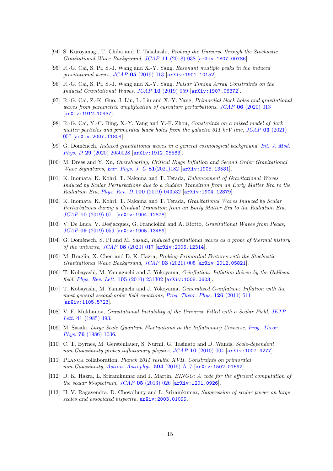- [94] S. Kuroyanagi, T. Chiba and T. Takahashi, Probing the Universe through the Stochastic Gravitational Wave Background, JCAP 11 [\(2018\) 038](https://doi.org/10.1088/1475-7516/2018/11/038) [[arXiv:1807.00786](https://arxiv.org/abs/1807.00786)].
- [95] R.-G. Cai, S. Pi, S.-J. Wang and X.-Y. Yang, Resonant multiple peaks in the induced qravitational waves,  $JCAP$  05 [\(2019\) 013](https://doi.org/10.1088/1475-7516/2019/05/013)  $\ar{xiv:1901.10152}$ .
- [96] R.-G. Cai, S. Pi, S.-J. Wang and X.-Y. Yang, Pulsar Timing Array Constraints on the Induced Gravitational Waves, JCAP 10 [\(2019\) 059](https://doi.org/10.1088/1475-7516/2019/10/059) [[arXiv:1907.06372](https://arxiv.org/abs/1907.06372)].
- [97] R.-G. Cai, Z.-K. Guo, J. Liu, L. Liu and X.-Y. Yang, Primordial black holes and gravitational waves from parametric amplification of curvature perturbations, JCAP 06 [\(2020\) 013](https://doi.org/10.1088/1475-7516/2020/06/013) [[arXiv:1912.10437](https://arxiv.org/abs/1912.10437)].
- [98] R.-G. Cai, Y.-C. Ding, X.-Y. Yang and Y.-F. Zhou, Constraints on a mixed model of dark matter particles and primordial black holes from the galactic 511 keV line,  $JCAP$  03 [\(2021\)](https://doi.org/10.1088/1475-7516/2021/03/057) [057](https://doi.org/10.1088/1475-7516/2021/03/057) [[arXiv:2007.11804](https://arxiv.org/abs/2007.11804)].
- [99] G. Domènech, Induced gravitational waves in a general cosmological background, [Int. J. Mod.](https://doi.org/10.1142/S0218271820500285) Phys. D 29 [\(2020\) 2050028](https://doi.org/10.1142/S0218271820500285) [[arXiv:1912.05583](https://arxiv.org/abs/1912.05583)].
- [100] M. Drees and Y. Xu, Overshooting, Critical Higgs Inflation and Second Order Gravitational Wave Signatures, [Eur. Phys. J. C](https://doi.org/10.1140/epjc/s10052-021-08976-2) 81(2021)182 [[arXiv:1905.13581](https://arxiv.org/abs/1905.13581)].
- [101] K. Inomata, K. Kohri, T. Nakama and T. Terada, Enhancement of Gravitational Waves Induced by Scalar Perturbations due to a Sudden Transition from an Early Matter Era to the Radiation Era, Phys. Rev. D 100 [\(2019\) 043532](https://doi.org/10.1103/PhysRevD.100.043532) [[arXiv:1904.12879](https://arxiv.org/abs/1904.12879)].
- [102] K. Inomata, K. Kohri, T. Nakama and T. Terada, Gravitational Waves Induced by Scalar Perturbations during a Gradual Transition from an Early Matter Era to the Radiation Era, JCAP 10 [\(2019\) 071](https://doi.org/10.1088/1475-7516/2019/10/071) [[arXiv:1904.12878](https://arxiv.org/abs/1904.12878)].
- [103] V. De Luca, V. Desjacques, G. Franciolini and A. Riotto, Gravitational Waves from Peaks, JCAP 09 [\(2019\) 059](https://doi.org/10.1088/1475-7516/2019/09/059) [[arXiv:1905.13459](https://arxiv.org/abs/1905.13459)].
- [104] G. Domènech, S. Pi and M. Sasaki, *Induced gravitational waves as a probe of thermal history* of the universe, JCAP 08 [\(2020\) 017](https://doi.org/10.1088/1475-7516/2020/08/017) [[arXiv:2005.12314](https://arxiv.org/abs/2005.12314)].
- <span id="page-15-0"></span>[105] M. Braglia, X. Chen and D. K. Hazra, Probing Primordial Features with the Stochastic Gravitational Wave Background,  $JCAP$  03 [\(2021\) 005](https://doi.org/10.1088/1475-7516/2021/03/005)  $\vert$ [arXiv:2012.05821](https://arxiv.org/abs/2012.05821).
- <span id="page-15-1"></span>[106] T. Kobayashi, M. Yamaguchi and J. Yokoyama, G-inflation: Inflation driven by the Galileon field, [Phys. Rev. Lett.](https://doi.org/10.1103/PhysRevLett.105.231302) 105 (2010) 231302 [[arXiv:1008.0603](https://arxiv.org/abs/1008.0603)].
- <span id="page-15-2"></span>[107] T. Kobayashi, M. Yamaguchi and J. Yokoyama, Generalized G-inflation: Inflation with the most general second-order field equations, [Prog. Theor. Phys.](https://doi.org/10.1143/PTP.126.511) 126 (2011) 511 [[arXiv:1105.5723](https://arxiv.org/abs/1105.5723)].
- <span id="page-15-3"></span>[108] V. F. Mukhanov, Gravitational Instability of the Universe Filled with a Scalar Field, [JETP](http://www.jetpletters.ac.ru/ps/1467/article_22380.shtml) Lett. 41 [\(1985\) 493.](http://www.jetpletters.ac.ru/ps/1467/article_22380.shtml)
- <span id="page-15-4"></span>[109] M. Sasaki, Large Scale Quantum Fluctuations in the Inflationary Universe, [Prog. Theor.](https://doi.org/10.1143/PTP.76.1036) Phys. 76 [\(1986\) 1036.](https://doi.org/10.1143/PTP.76.1036)
- <span id="page-15-5"></span>[110] C. T. Byrnes, M. Gerstenlauer, S. Nurmi, G. Tasinato and D. Wands, Scale-dependent non-Gaussianity probes inflationary physics, JCAP 10 [\(2010\) 004](https://doi.org/10.1088/1475-7516/2010/10/004) [[arXiv:1007.4277](https://arxiv.org/abs/1007.4277)].
- <span id="page-15-6"></span>[111] Planck collaboration, Planck 2015 results. XVII. Constraints on primordial non-Gaussianity, [Astron. Astrophys.](https://doi.org/10.1051/0004-6361/201525836) **594** (2016) A17 [[arXiv:1502.01592](https://arxiv.org/abs/1502.01592)].
- <span id="page-15-7"></span>[112] D. K. Hazra, L. Sriramkumar and J. Martin, *BINGO: A code for the efficient computation of* the scalar bi-spectrum,  $JCAP$  05 [\(2013\) 026](https://doi.org/10.1088/1475-7516/2013/05/026)  $[ary:1201.0926]$ .
- [113] H. V. Ragavendra, D. Chowdhury and L. Sriramkumar, Suppression of scalar power on large scales and associated bispectra,  $arXiv:2003.01099$ .